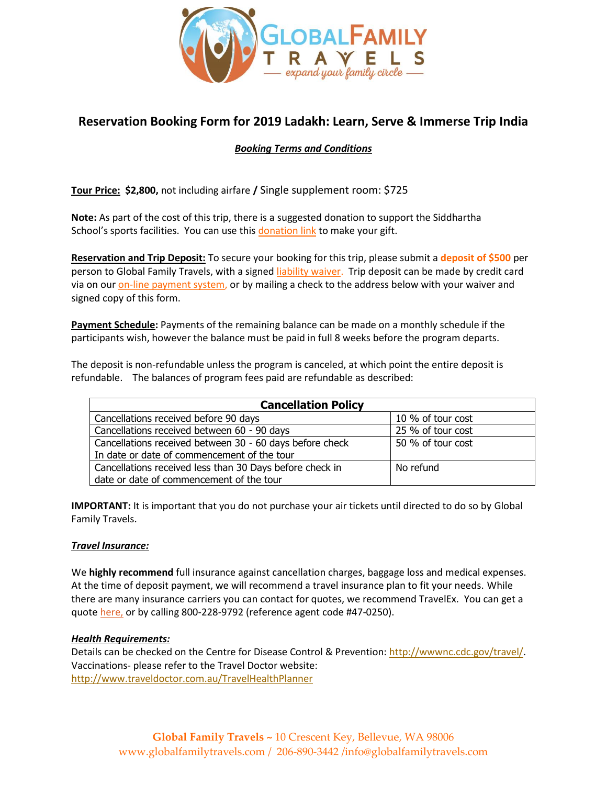

# **Reservation Booking Form for 2019 Ladakh: Learn, Serve & Immerse Trip India**

### *Booking Terms and Conditions*

**Tour Price: \$2,800,** not including airfare **/** Single supplement room: \$725

**Note:** As part of the cost of this trip, there is a suggested donation to support the Siddhartha School's sports facilities. You can use this [donation link](https://www.paypal.com/donate/?token=9GoK573UnuZ8DevKeQ4nZBQzPG4A3yBQF8gpjbGVy56PIlBZ3hFzAOFi22qFyUxakbq3I0&country.x=US&locale.x=US) to make your gift.

**Reservation and Trip Deposit:** To secure your booking for this trip, please submit a **deposit of \$500** per person to Global Family Travels, with a signed [liability waiver.](https://docs.wixstatic.com/ugd/08860c_0ab848fd10944c55bea09ffec6d46f08.pdf) Trip deposit can be made by credit card via on our [on-line payment system,](https://www.globalfamilytravels.com/product-page/little-tibet-learn-serve-immerse) or by mailing a check to the address below with your waiver and signed copy of this form.

**Payment Schedule:** Payments of the remaining balance can be made on a monthly schedule if the participants wish, however the balance must be paid in full 8 weeks before the program departs.

The deposit is non-refundable unless the program is canceled, at which point the entire deposit is refundable. The balances of program fees paid are refundable as described:

| <b>Cancellation Policy</b>                               |                   |
|----------------------------------------------------------|-------------------|
| Cancellations received before 90 days                    | 10 % of tour cost |
| Cancellations received between 60 - 90 days              | 25 % of tour cost |
| Cancellations received between 30 - 60 days before check | 50 % of tour cost |
| In date or date of commencement of the tour              |                   |
| Cancellations received less than 30 Days before check in | No refund         |
| date or date of commencement of the tour                 |                   |

**IMPORTANT:** It is important that you do not purchase your air tickets until directed to do so by Global Family Travels.

#### *Travel Insurance:*

We **highly recommend** full insurance against cancellation charges, baggage loss and medical expenses. At the time of deposit payment, we will recommend a travel insurance plan to fit your needs. While there are many insurance carriers you can contact for quotes, we recommend TravelEx. You can get a quote [here,](https://www.travelexinsurance.com/quote/?nc=1) or by calling 800-228-9792 (reference agent code #47-0250).

#### *Health Requirements:*

Details can be checked on the Centre for Disease Control & Prevention[: http://wwwnc.cdc.gov/travel/.](http://wwwnc.cdc.gov/travel/) Vaccinations- please refer to the Travel Doctor website: <http://www.traveldoctor.com.au/TravelHealthPlanner>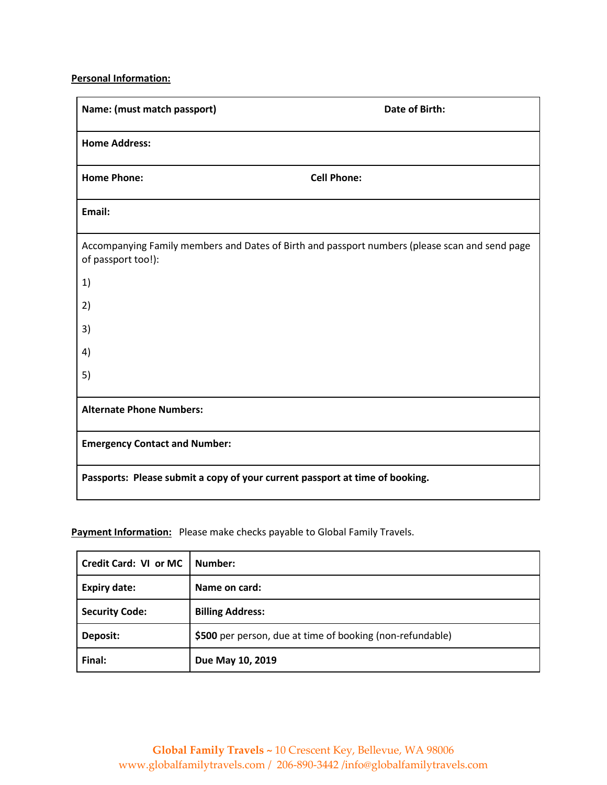## **Personal Information:**

| Name: (must match passport)                                                  | Date of Birth:                                                                                 |
|------------------------------------------------------------------------------|------------------------------------------------------------------------------------------------|
| <b>Home Address:</b>                                                         |                                                                                                |
| <b>Home Phone:</b>                                                           | <b>Cell Phone:</b>                                                                             |
| Email:                                                                       |                                                                                                |
| of passport too!):                                                           | Accompanying Family members and Dates of Birth and passport numbers (please scan and send page |
| 1)                                                                           |                                                                                                |
| 2)                                                                           |                                                                                                |
| 3)                                                                           |                                                                                                |
| 4)                                                                           |                                                                                                |
| 5)                                                                           |                                                                                                |
| <b>Alternate Phone Numbers:</b>                                              |                                                                                                |
| <b>Emergency Contact and Number:</b>                                         |                                                                                                |
| Passports: Please submit a copy of your current passport at time of booking. |                                                                                                |

## **Payment Information:** Please make checks payable to Global Family Travels.

| Credit Card: VI or MC | Number:                                                   |
|-----------------------|-----------------------------------------------------------|
| <b>Expiry date:</b>   | Name on card:                                             |
| <b>Security Code:</b> | <b>Billing Address:</b>                                   |
| Deposit:              | \$500 per person, due at time of booking (non-refundable) |
| Final:                | Due May 10, 2019                                          |